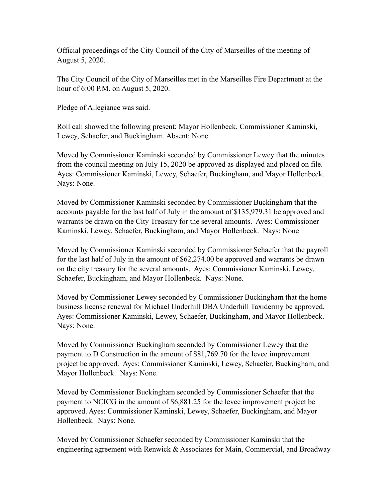Official proceedings of the City Council of the City of Marseilles of the meeting of August 5, 2020.

The City Council of the City of Marseilles met in the Marseilles Fire Department at the hour of 6:00 P.M. on August 5, 2020.

Pledge of Allegiance was said.

Roll call showed the following present: Mayor Hollenbeck, Commissioner Kaminski, Lewey, Schaefer, and Buckingham. Absent: None.

Moved by Commissioner Kaminski seconded by Commissioner Lewey that the minutes from the council meeting on July 15, 2020 be approved as displayed and placed on file. Ayes: Commissioner Kaminski, Lewey, Schaefer, Buckingham, and Mayor Hollenbeck. Nays: None.

Moved by Commissioner Kaminski seconded by Commissioner Buckingham that the accounts payable for the last half of July in the amount of \$135,979.31 be approved and warrants be drawn on the City Treasury for the several amounts. Ayes: Commissioner Kaminski, Lewey, Schaefer, Buckingham, and Mayor Hollenbeck. Nays: None

Moved by Commissioner Kaminski seconded by Commissioner Schaefer that the payroll for the last half of July in the amount of \$62,274.00 be approved and warrants be drawn on the city treasury for the several amounts. Ayes: Commissioner Kaminski, Lewey, Schaefer, Buckingham, and Mayor Hollenbeck. Nays: None.

Moved by Commissioner Lewey seconded by Commissioner Buckingham that the home business license renewal for Michael Underhill DBA Underhill Taxidermy be approved. Ayes: Commissioner Kaminski, Lewey, Schaefer, Buckingham, and Mayor Hollenbeck. Nays: None.

Moved by Commissioner Buckingham seconded by Commissioner Lewey that the payment to D Construction in the amount of \$81,769.70 for the levee improvement project be approved. Ayes: Commissioner Kaminski, Lewey, Schaefer, Buckingham, and Mayor Hollenbeck. Nays: None.

Moved by Commissioner Buckingham seconded by Commissioner Schaefer that the payment to NCICG in the amount of \$6,881.25 for the levee improvement project be approved. Ayes: Commissioner Kaminski, Lewey, Schaefer, Buckingham, and Mayor Hollenbeck. Nays: None.

Moved by Commissioner Schaefer seconded by Commissioner Kaminski that the engineering agreement with Renwick & Associates for Main, Commercial, and Broadway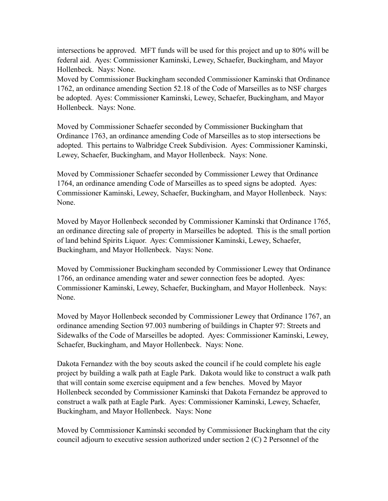intersections be approved. MFT funds will be used for this project and up to 80% will be federal aid. Ayes: Commissioner Kaminski, Lewey, Schaefer, Buckingham, and Mayor Hollenbeck. Nays: None.

Moved by Commissioner Buckingham seconded Commissioner Kaminski that Ordinance 1762, an ordinance amending Section 52.18 of the Code of Marseilles as to NSF charges be adopted. Ayes: Commissioner Kaminski, Lewey, Schaefer, Buckingham, and Mayor Hollenbeck. Nays: None.

Moved by Commissioner Schaefer seconded by Commissioner Buckingham that Ordinance 1763, an ordinance amending Code of Marseilles as to stop intersections be adopted. This pertains to Walbridge Creek Subdivision. Ayes: Commissioner Kaminski, Lewey, Schaefer, Buckingham, and Mayor Hollenbeck. Nays: None.

Moved by Commissioner Schaefer seconded by Commissioner Lewey that Ordinance 1764, an ordinance amending Code of Marseilles as to speed signs be adopted. Ayes: Commissioner Kaminski, Lewey, Schaefer, Buckingham, and Mayor Hollenbeck. Nays: None.

Moved by Mayor Hollenbeck seconded by Commissioner Kaminski that Ordinance 1765, an ordinance directing sale of property in Marseilles be adopted. This is the small portion of land behind Spirits Liquor. Ayes: Commissioner Kaminski, Lewey, Schaefer, Buckingham, and Mayor Hollenbeck. Nays: None.

Moved by Commissioner Buckingham seconded by Commissioner Lewey that Ordinance 1766, an ordinance amending water and sewer connection fees be adopted. Ayes: Commissioner Kaminski, Lewey, Schaefer, Buckingham, and Mayor Hollenbeck. Nays: None.

Moved by Mayor Hollenbeck seconded by Commissioner Lewey that Ordinance 1767, an ordinance amending Section 97.003 numbering of buildings in Chapter 97: Streets and Sidewalks of the Code of Marseilles be adopted. Ayes: Commissioner Kaminski, Lewey, Schaefer, Buckingham, and Mayor Hollenbeck. Nays: None.

Dakota Fernandez with the boy scouts asked the council if he could complete his eagle project by building a walk path at Eagle Park. Dakota would like to construct a walk path that will contain some exercise equipment and a few benches. Moved by Mayor Hollenbeck seconded by Commissioner Kaminski that Dakota Fernandez be approved to construct a walk path at Eagle Park. Ayes: Commissioner Kaminski, Lewey, Schaefer, Buckingham, and Mayor Hollenbeck. Nays: None

Moved by Commissioner Kaminski seconded by Commissioner Buckingham that the city council adjourn to executive session authorized under section 2 (C) 2 Personnel of the